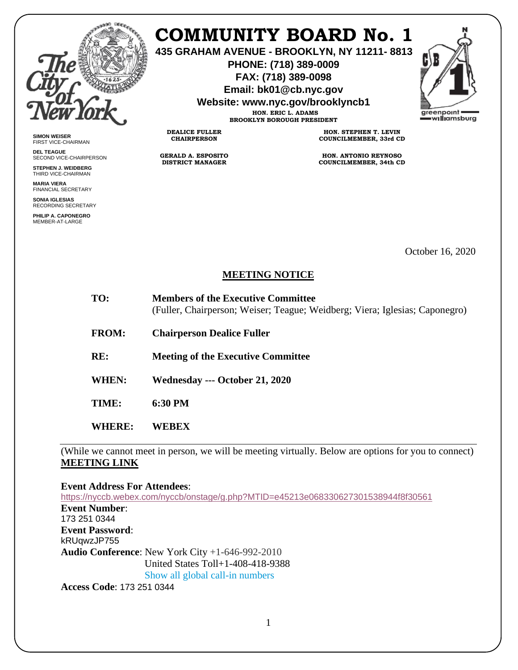

**SIMON WEISER** FIRST VICE-CHAIRMAN **DEL TEAGUE**

SECOND VICE-CHAIRPERSON **STEPHEN J. WEIDBERG** THIRD VICE-CHAIRMAN **MARIA VIERA** FINANCIAL SECRETARY **SONIA IGLESIAS** RECORDING SECRETARY **PHILIP A. CAPONEGRO** MEMBER-AT-LARGE

## **COMMUNITY BOARD No. 1**

**435 GRAHAM AVENUE - BROOKLYN, NY 11211- 8813**

**PHONE: (718) 389-0009 FAX: (718) 389-0098**

**Email: bk01@cb.nyc.gov**

**Website: www.nyc.gov/brooklyncb1**

**HON. ERIC L. ADAMS BROOKLYN BOROUGH PRESIDENT**

**DEALICE FULLER CHAIRPERSON**

**GERALD A. ESPOSITO DISTRICT MANAGER**

**HON. STEPHEN T. LEVIN COUNCILMEMBER, 33rd CD**

**HON. ANTONIO REYNOSO COUNCILMEMBER, 34th CD**

October 16, 2020

## **MEETING NOTICE**

| TO: | <b>Members of the Executive Committee</b>                                   |
|-----|-----------------------------------------------------------------------------|
|     | (Fuller, Chairperson; Weiser; Teague; Weidberg; Viera; Iglesias; Caponegro) |

**FROM: Chairperson Dealice Fuller** 

**RE: Meeting of the Executive Committee**

**WHEN: Wednesday --- October 21, 2020**

**TIME: 6:30 PM**

**WHERE: WEBEX** 

(While we cannot meet in person, we will be meeting virtually. Below are options for you to connect) **MEETING LINK** 

**Event Address For Attendees**:

<https://nyccb.webex.com/nyccb/onstage/g.php?MTID=e45213e068330627301538944f8f30561> **Event Number**: 173 251 0344 **Event Password**: kRUqwzJP755 **Audio Conference**: New York City +1-646-992-2010 United States Toll+1-408-418-9388 Show all global call-in numbers **Access Code**: 173 251 0344

1